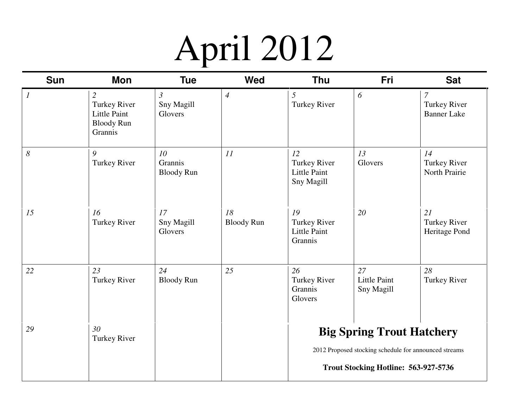### April 2012

| <b>Sun</b>       | <b>Mon</b>                                                                                   | <b>Tue</b>                              | <b>Wed</b>              | <b>Thu</b>                                                  | Fri                                                                                       | <b>Sat</b>                                           |  |
|------------------|----------------------------------------------------------------------------------------------|-----------------------------------------|-------------------------|-------------------------------------------------------------|-------------------------------------------------------------------------------------------|------------------------------------------------------|--|
| $\boldsymbol{l}$ | $\overline{2}$<br><b>Turkey River</b><br><b>Little Paint</b><br><b>Bloody Run</b><br>Grannis | $\mathfrak{Z}$<br>Sny Magill<br>Glovers | $\overline{4}$          | $\mathfrak{I}$<br>Turkey River                              | 6                                                                                         | $\overline{7}$<br>Turkey River<br><b>Banner Lake</b> |  |
| 8                | 9<br><b>Turkey River</b>                                                                     | 10<br>Grannis<br><b>Bloody Run</b>      | 11                      | 12<br>Turkey River<br><b>Little Paint</b><br>Sny Magill     | 13<br>Glovers                                                                             | 14<br>Turkey River<br>North Prairie                  |  |
| 15               | 16<br><b>Turkey River</b>                                                                    | 17<br>Sny Magill<br>Glovers             | 18<br><b>Bloody Run</b> | 19<br><b>Turkey River</b><br><b>Little Paint</b><br>Grannis | 20                                                                                        | 21<br><b>Turkey River</b><br>Heritage Pond           |  |
| 22               | 23<br><b>Turkey River</b>                                                                    | 24<br><b>Bloody Run</b>                 | 25                      | 26<br>Turkey River<br>Grannis<br>Glovers                    | 27<br><b>Little Paint</b><br>Sny Magill                                                   | 28<br>Turkey River                                   |  |
| 29               | 30<br><b>Turkey River</b>                                                                    |                                         |                         |                                                             | <b>Big Spring Trout Hatchery</b><br>2012 Proposed stocking schedule for announced streams |                                                      |  |
|                  |                                                                                              |                                         |                         |                                                             | Trout Stocking Hotline: 563-927-5736                                                      |                                                      |  |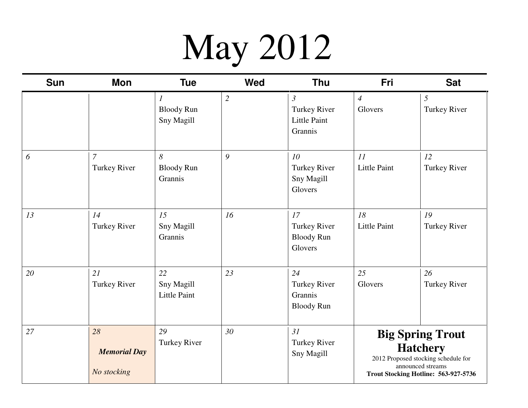## May 2012

| <b>Sun</b> | Mon                                      | <b>Tue</b>                              | <b>Wed</b>     | <b>Thu</b>                                                       | Fri                                                                                                                                            | <b>Sat</b>                |
|------------|------------------------------------------|-----------------------------------------|----------------|------------------------------------------------------------------|------------------------------------------------------------------------------------------------------------------------------------------------|---------------------------|
|            |                                          | 1<br><b>Bloody Run</b><br>Sny Magill    | $\mathfrak{2}$ | $\mathfrak{Z}$<br>Turkey River<br><b>Little Paint</b><br>Grannis | $\overline{A}$<br>Glovers                                                                                                                      | 5<br>Turkey River         |
| 6          | $\overline{7}$<br><b>Turkey River</b>    | 8<br><b>Bloody Run</b><br>Grannis       | 9              | 10 <sup>°</sup><br>Turkey River<br>Sny Magill<br>Glovers         | 11<br><b>Little Paint</b>                                                                                                                      | 12<br>Turkey River        |
| 13         | 14<br><b>Turkey River</b>                | 15<br>Sny Magill<br>Grannis             | 16             | 17<br><b>Turkey River</b><br><b>Bloody Run</b><br>Glovers        | 18<br><b>Little Paint</b>                                                                                                                      | 19<br>Turkey River        |
| 20         | 21<br><b>Turkey River</b>                | 22<br>Sny Magill<br><b>Little Paint</b> | 23             | 24<br><b>Turkey River</b><br>Grannis<br><b>Bloody Run</b>        | 25<br>Glovers                                                                                                                                  | 26<br><b>Turkey River</b> |
| 27         | 28<br><b>Memorial Day</b><br>No stocking | 29<br>Turkey River                      | 30             | 31<br>Turkey River<br>Sny Magill                                 | <b>Big Spring Trout</b><br><b>Hatchery</b><br>2012 Proposed stocking schedule for<br>announced streams<br>Trout Stocking Hotline: 563-927-5736 |                           |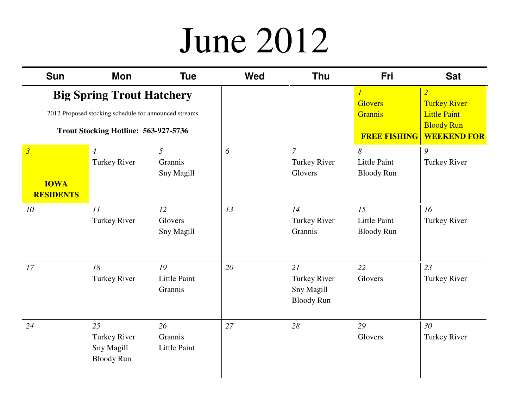#### June 2012

| <b>Sun</b>                                                                                                                        | Mon                                                   | <b>Tue</b>                           | <b>Wed</b> | <b>Thu</b>                                                   | Fri                                                                       | <b>Sat</b>                                                                                              |
|-----------------------------------------------------------------------------------------------------------------------------------|-------------------------------------------------------|--------------------------------------|------------|--------------------------------------------------------------|---------------------------------------------------------------------------|---------------------------------------------------------------------------------------------------------|
| <b>Big Spring Trout Hatchery</b><br>2012 Proposed stocking schedule for announced streams<br>Trout Stocking Hotline: 563-927-5736 |                                                       |                                      |            |                                                              | $\overline{l}$<br><b>Glovers</b><br><b>Grannis</b><br><b>FREE FISHING</b> | $\overline{2}$<br><b>Turkey River</b><br><b>Little Paint</b><br><b>Bloody Run</b><br><b>WEEKEND FOR</b> |
| $\overline{\mathbf{3}}$<br><b>IOWA</b><br><b>RESIDENTS</b>                                                                        | $\overline{4}$<br><b>Turkey River</b>                 | 5<br>Grannis<br><b>Sny Magill</b>    | 6          | $\overline{7}$<br><b>Turkey River</b><br>Glovers             | 8<br><b>Little Paint</b><br><b>Bloody Run</b>                             | 9<br><b>Turkey River</b>                                                                                |
| 10                                                                                                                                | 11<br>Turkey River                                    | 12<br>Glovers<br>Sny Magill          | 13         | 14<br>Turkey River<br>Grannis                                | 15<br><b>Little Paint</b><br><b>Bloody Run</b>                            | 16<br>Turkey River                                                                                      |
| 17                                                                                                                                | 18<br>Turkey River                                    | 19<br><b>Little Paint</b><br>Grannis | 20         | 21<br><b>Turkey River</b><br>Sny Magill<br><b>Bloody Run</b> | 22<br>Glovers                                                             | 23<br><b>Turkey River</b>                                                                               |
| 24                                                                                                                                | 25<br>Turkey River<br>Sny Magill<br><b>Bloody Run</b> | 26<br>Grannis<br>Little Paint        | 27         | 28                                                           | 29<br>Glovers                                                             | 30 <sup>°</sup><br><b>Turkey River</b>                                                                  |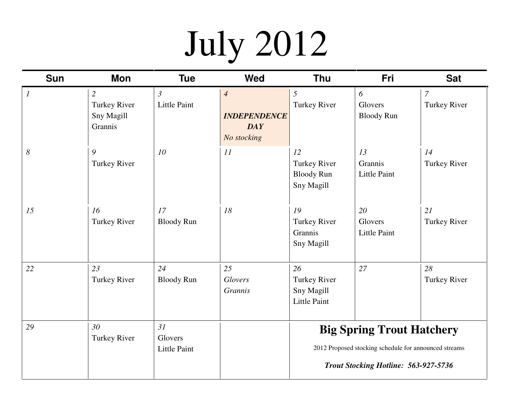# July 2012

| <b>Sun</b>            | Mon                                                     | <b>Tue</b>                            | <b>Wed</b>                                                         | <b>Thu</b>                                              | Fri                                                                                                                               | <b>Sat</b>                    |
|-----------------------|---------------------------------------------------------|---------------------------------------|--------------------------------------------------------------------|---------------------------------------------------------|-----------------------------------------------------------------------------------------------------------------------------------|-------------------------------|
| $\mathcal{I}$         | $\overline{2}$<br>Turkey River<br>Sny Magill<br>Grannis | $\mathfrak{Z}$<br><b>Little Paint</b> | $\overline{4}$<br><b>INDEPENDENCE</b><br><b>DAY</b><br>No stocking | 5<br>Turkey River                                       | 6<br>Glovers<br><b>Bloody Run</b>                                                                                                 | $\mathcal{I}$<br>Turkey River |
| $\boldsymbol{\delta}$ | 9<br><b>Turkey River</b>                                | 10                                    | 11                                                                 | 12<br>Turkey River<br><b>Bloody Run</b><br>Sny Magill   | 13<br>Grannis<br><b>Little Paint</b>                                                                                              | 14<br><b>Turkey River</b>     |
| 15                    | 16<br>Turkey River                                      | 17<br><b>Bloody Run</b>               | 18                                                                 | 19<br><b>Turkey River</b><br>Grannis<br>Sny Magill      | 20<br>Glovers<br><b>Little Paint</b>                                                                                              | 21<br>Turkey River            |
| 22                    | 23<br>Turkey River                                      | 24<br><b>Bloody Run</b>               | 25<br>Glovers<br><b>Grannis</b>                                    | 26<br>Turkey River<br>Sny Magill<br><b>Little Paint</b> | 27                                                                                                                                | 28<br>Turkey River            |
| 29                    | 30<br>Turkey River                                      | 31<br>Glovers<br><b>Little Paint</b>  |                                                                    |                                                         | <b>Big Spring Trout Hatchery</b><br>2012 Proposed stocking schedule for announced streams<br>Trout Stocking Hotline: 563-927-5736 |                               |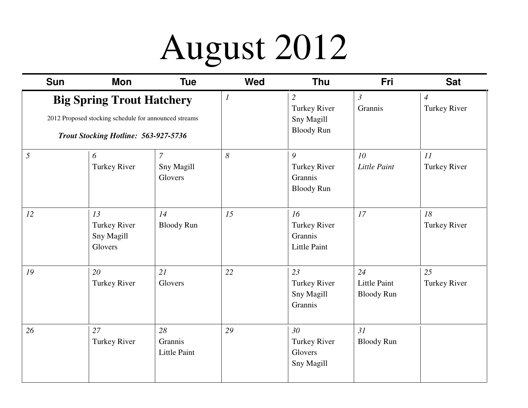### August 2012

| <b>Sun</b>                                                                                                                        | Mon                                         | <b>Tue</b>                                | <b>Wed</b>       | <b>Thu</b>                                               | Fri                                            | <b>Sat</b>                     |
|-----------------------------------------------------------------------------------------------------------------------------------|---------------------------------------------|-------------------------------------------|------------------|----------------------------------------------------------|------------------------------------------------|--------------------------------|
| <b>Big Spring Trout Hatchery</b><br>2012 Proposed stocking schedule for announced streams<br>Trout Stocking Hotline: 563-927-5736 |                                             |                                           | $\boldsymbol{l}$ | 2<br>Turkey River<br>Sny Magill<br><b>Bloody Run</b>     | $\mathfrak{Z}$<br>Grannis                      | $\overline{4}$<br>Turkey River |
| 5                                                                                                                                 | 6<br><b>Turkey River</b>                    | $\boldsymbol{7}$<br>Sny Magill<br>Glovers | 8                | 9<br><b>Turkey River</b><br>Grannis<br><b>Bloody Run</b> | 10<br><b>Little Paint</b>                      | 11<br>Turkey River             |
| 12                                                                                                                                | 13<br>Turkey River<br>Sny Magill<br>Glovers | 14<br><b>Bloody Run</b>                   | 15               | 16<br><b>Turkey River</b><br>Grannis<br>Little Paint     | 17                                             | 18<br>Turkey River             |
| 19                                                                                                                                | 20<br>Turkey River                          | 21<br>Glovers                             | 22               | 23<br>Turkey River<br>Sny Magill<br>Grannis              | 24<br><b>Little Paint</b><br><b>Bloody Run</b> | 25<br>Turkey River             |
| 26                                                                                                                                | 27<br>Turkey River                          | 28<br>Grannis<br><b>Little Paint</b>      | 29               | 30<br><b>Turkey River</b><br>Glovers<br>Sny Magill       | 31<br><b>Bloody Run</b>                        |                                |